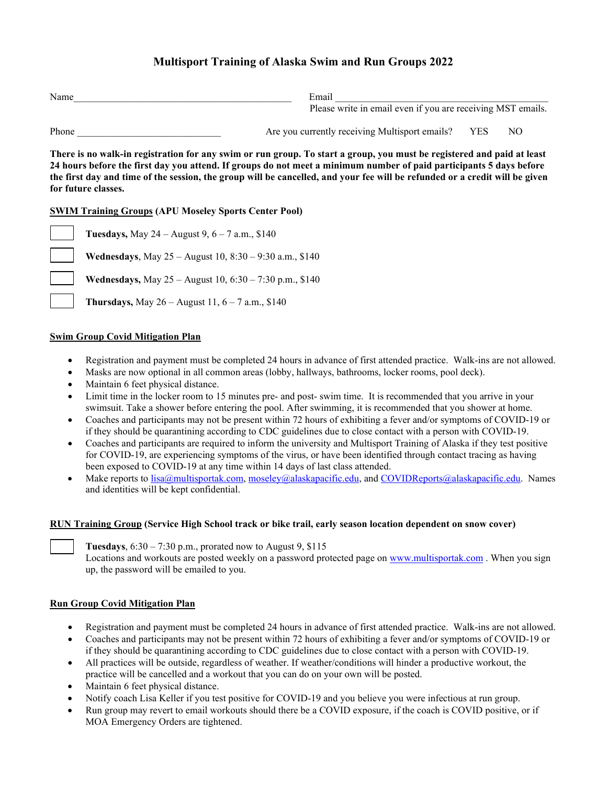# **Multisport Training of Alaska Swim and Run Groups 2022**

| Name  | Email                                                       |     |    |  |
|-------|-------------------------------------------------------------|-----|----|--|
|       | Please write in email even if you are receiving MST emails. |     |    |  |
| Phone | Are you currently receiving Multisport emails?              | YES | NО |  |

**There is no walk-in registration for any swim or run group. To start a group, you must be registered and paid at least 24 hours before the first day you attend. If groups do not meet a minimum number of paid participants 5 days before the first day and time of the session, the group will be cancelled, and your fee will be refunded or a credit will be given for future classes.** 

## **SWIM Training Groups (APU Moseley Sports Center Pool)**

**Tuesdays,** May 24 – August 9, 6 – 7 a.m., \$140 **Wednesdays**, May 25 – August 10, 8:30 – 9:30 a.m., \$140 **Wednesdays,** May 25 – August 10, 6:30 – 7:30 p.m., \$140 **Thursdays,** May  $26 -$ August 11,  $6 - 7$  a.m., \$140

### **Swim Group Covid Mitigation Plan**

- Registration and payment must be completed 24 hours in advance of first attended practice. Walk-ins are not allowed.
- Masks are now optional in all common areas (lobby, hallways, bathrooms, locker rooms, pool deck).
- Maintain 6 feet physical distance.
- Limit time in the locker room to 15 minutes pre- and post- swim time. It is recommended that you arrive in your swimsuit. Take a shower before entering the pool. After swimming, it is recommended that you shower at home.
- Coaches and participants may not be present within 72 hours of exhibiting a fever and/or symptoms of COVID-19 or if they should be quarantining according to CDC guidelines due to close contact with a person with COVID-19.
- Coaches and participants are required to inform the university and Multisport Training of Alaska if they test positive for COVID-19, are experiencing symptoms of the virus, or have been identified through contact tracing as having been exposed to COVID-19 at any time within 14 days of last class attended.
- Make reports to [lisa@multisportak.com,](mailto:lisa@multisportak.com) [moseley@alaskapacific.edu,](mailto:moseley@alaskapacific.edu) and [COVIDReports@alaskapacific.edu.](mailto:COVIDReports@alaskapacific.edu) Names and identities will be kept confidential.

### **RUN Training Group (Service High School track or bike trail, early season location dependent on snow cover)**

**Tuesdays**,  $6:30 - 7:30$  p.m., prorated now to August 9, \$115 Locations and workouts are posted weekly on a password protected page on [www.multisportak.com](http://www.multisportak.com/) . When you sign up, the password will be emailed to you.

### **Run Group Covid Mitigation Plan**

- Registration and payment must be completed 24 hours in advance of first attended practice. Walk-ins are not allowed.
- Coaches and participants may not be present within 72 hours of exhibiting a fever and/or symptoms of COVID-19 or if they should be quarantining according to CDC guidelines due to close contact with a person with COVID-19.
- All practices will be outside, regardless of weather. If weather/conditions will hinder a productive workout, the practice will be cancelled and a workout that you can do on your own will be posted.
- Maintain 6 feet physical distance.
- Notify coach Lisa Keller if you test positive for COVID-19 and you believe you were infectious at run group.
- Run group may revert to email workouts should there be a COVID exposure, if the coach is COVID positive, or if MOA Emergency Orders are tightened.